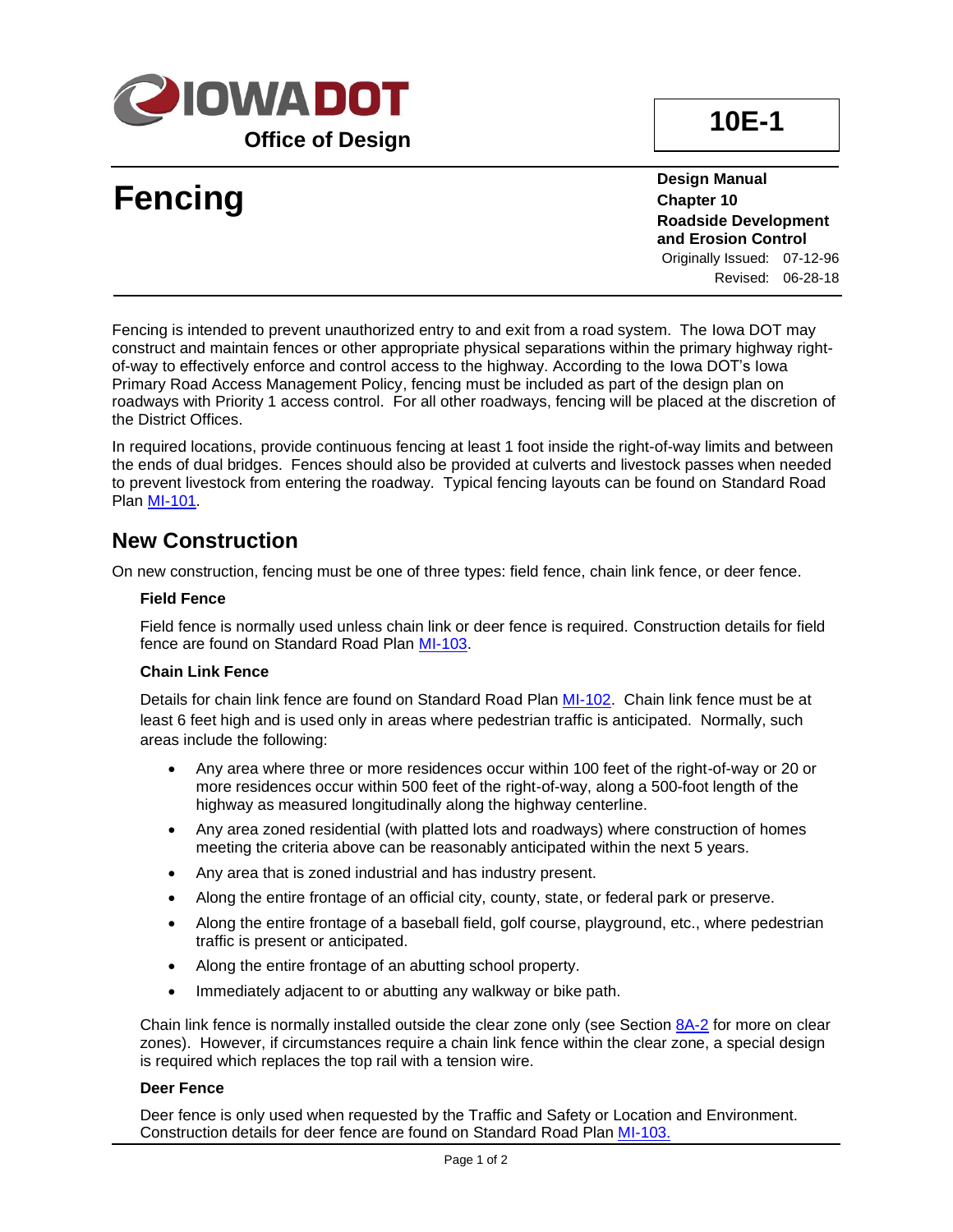

# **Fencing**

**Design Manual Chapter 10 Roadside Development and Erosion Control**

Originally Issued: 07-12-96 Revised: 06-28-18

Fencing is intended to prevent unauthorized entry to and exit from a road system. The Iowa DOT may construct and maintain fences or other appropriate physical separations within the primary highway rightof-way to effectively enforce and control access to the highway. According to the Iowa DOT's Iowa Primary Road Access Management Policy, fencing must be included as part of the design plan on roadways with Priority 1 access control. For all other roadways, fencing will be placed at the discretion of the District Offices.

In required locations, provide continuous fencing at least 1 foot inside the right-of-way limits and between the ends of dual bridges. Fences should also be provided at culverts and livestock passes when needed to prevent livestock from entering the roadway. Typical fencing layouts can be found on Standard Road Plan [MI-101.](../SRP/IndividualStandards/mi101.pdf)

### **New Construction**

On new construction, fencing must be one of three types: field fence, chain link fence, or deer fence.

#### **Field Fence**

Field fence is normally used unless chain link or deer fence is required. Construction details for field fence are found on Standard Road Plan [MI-103.](../SRP/IndividualStandards/mi103.pdf)

#### **Chain Link Fence**

Details for chain link fence are found on Standard Road Plan [MI-102.](../SRP/IndividualStandards/mi102.pdf) Chain link fence must be at least 6 feet high and is used only in areas where pedestrian traffic is anticipated. Normally, such areas include the following:

- Any area where three or more residences occur within 100 feet of the right-of-way or 20 or more residences occur within 500 feet of the right-of-way, along a 500-foot length of the highway as measured longitudinally along the highway centerline.
- Any area zoned residential (with platted lots and roadways) where construction of homes meeting the criteria above can be reasonably anticipated within the next 5 years.
- Any area that is zoned industrial and has industry present.
- Along the entire frontage of an official city, county, state, or federal park or preserve.
- Along the entire frontage of a baseball field, golf course, playground, etc., where pedestrian traffic is present or anticipated.
- Along the entire frontage of an abutting school property.
- Immediately adjacent to or abutting any walkway or bike path.

Chain link fence is normally installed outside the clear zone only (see Section [8A-2](08A-02.pdf) for more on clear zones). However, if circumstances require a chain link fence within the clear zone, a special design is required which replaces the top rail with a tension wire.

#### **Deer Fence**

Deer fence is only used when requested by the Traffic and Safety or Location and Environment. Construction details for deer fence are found on Standard Road Plan [MI-103.](../SRP/IndividualStandards/mi103.pdf)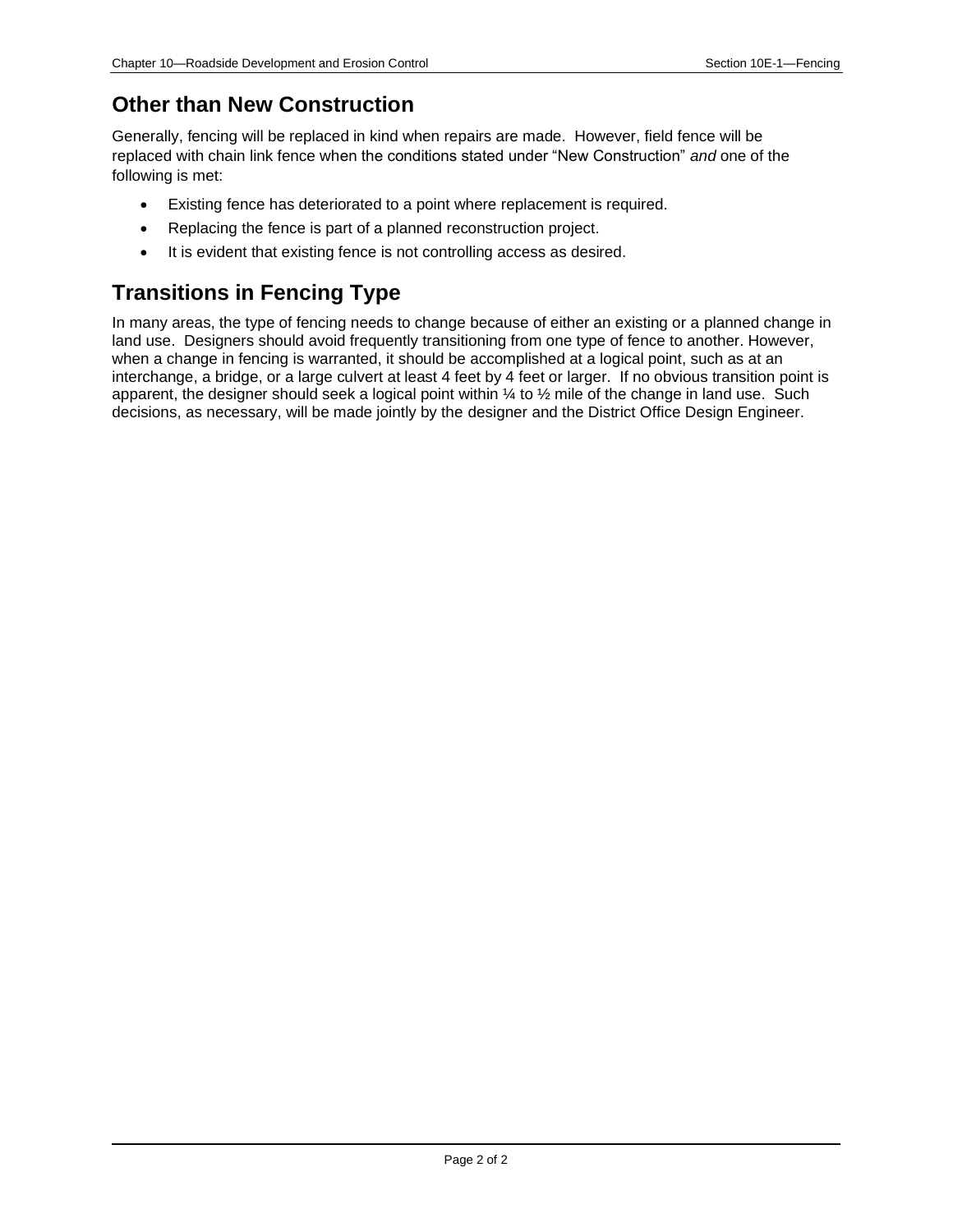### **Other than New Construction**

Generally, fencing will be replaced in kind when repairs are made. However, field fence will be replaced with chain link fence when the conditions stated under "New Construction" *and* one of the following is met:

- Existing fence has deteriorated to a point where replacement is required.
- Replacing the fence is part of a planned reconstruction project.
- It is evident that existing fence is not controlling access as desired.

## **Transitions in Fencing Type**

In many areas, the type of fencing needs to change because of either an existing or a planned change in land use. Designers should avoid frequently transitioning from one type of fence to another. However, when a change in fencing is warranted, it should be accomplished at a logical point, such as at an interchange, a bridge, or a large culvert at least 4 feet by 4 feet or larger. If no obvious transition point is apparent, the designer should seek a logical point within ¼ to ½ mile of the change in land use. Such decisions, as necessary, will be made jointly by the designer and the District Office Design Engineer.